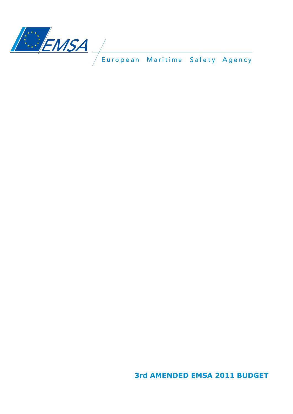

**3rd AMENDED EMSA 2011 BUDGET**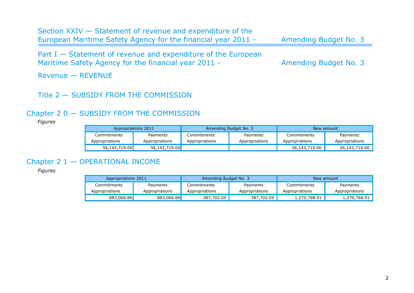| Section XXIV – Statement of revenue and expenditure of the<br>European Maritime Safety Agency for the financial year 2011 - | Amending Budget No. 3 |
|-----------------------------------------------------------------------------------------------------------------------------|-----------------------|
| Part I $-$ Statement of revenue and expenditure of the European<br>Maritime Safety Agency for the financial year 2011 -     | Amending Budget No. 3 |
| $Revenue - REVENUE$                                                                                                         |                       |

## Title 2 — SUBSIDY FROM THE COMMISSION

# Chapter 2 0 — SUBSIDY FROM THE COMMISSION

#### *Figures*

| Appropriations 2011 |                | Amending Budget No. 3 |                | New amount     |                |
|---------------------|----------------|-----------------------|----------------|----------------|----------------|
| Commitments         | Payments       | Commitments           | Payments       | Commitments    | Payments       |
| Appropriations      | Appropriations | Appropriations        | Appropriations | Appropriations | Appropriations |
| 56,142,719.00       | 56,142,719.00  |                       |                | 56,142,719.00  | 56,142,719.00  |

# Chapter 2 1 — OPERATIONAL INCOME

| Appropriations 2011 |                | Amending Budget No. 3 |                | New amount     |                |
|---------------------|----------------|-----------------------|----------------|----------------|----------------|
| Commitments         | Payments       | Commitments           | Payments       | Commitments    | Payments       |
| Appropriations      | Appropriations | Appropriations        | Appropriations | Appropriations | Appropriations |
| 883,066.86          | 883,066.86     | 387,702.05            | 387,702.05     | 1,270,768.91   | 1,270,768.91   |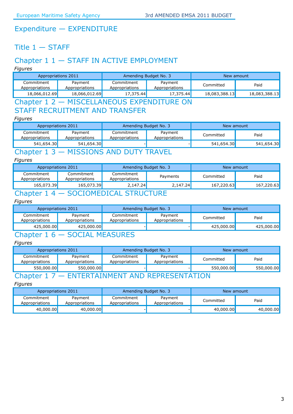## Expenditure — EXPENDITURE

## Title  $1 -$  STAFF

## Chapter 1 1 — STAFF IN ACTIVE EMPLOYMENT

*Figures*

| Appropriations 2011          |                           | Amending Budget No. 3        |                           | New amount    |               |  |
|------------------------------|---------------------------|------------------------------|---------------------------|---------------|---------------|--|
| Commitment<br>Appropriations | Pavment<br>Appropriations | Commitment<br>Appropriations | Payment<br>Appropriations | Committed     | Paid          |  |
| 18,066,012.69                | 18,066,012.69             | 17,375.44                    | 17,375.44                 | 18,083,388.13 | 18,083,388.13 |  |
|                              |                           |                              |                           |               |               |  |

#### Chapter 1 2 — MISCELLANEOUS EXPENDITURE ON STAFF RECRUITMENT AND TRANSFER

#### *Figures*

| Appropriations 2011                                                               |                           | Amending Budget No. 3        |                           | New amount |            |
|-----------------------------------------------------------------------------------|---------------------------|------------------------------|---------------------------|------------|------------|
| Commitment<br>Appropriations                                                      | Payment<br>Appropriations | Commitment<br>Appropriations | Payment<br>Appropriations | Committed  | Paid       |
| 541,654.30                                                                        | 541,654.30                |                              |                           | 541,654.30 | 541,654.30 |
| $C_{\mathbf{a}}$ $\mathbf{a}$ $\mathbf{a}$ $\mathbf{b}$ $\mathbf{a}$ $\mathbf{b}$ |                           |                              |                           |            |            |

## Chapter 1 3 — MISSIONS AND DUTY TRAVEL

#### *Figures*

| Appropriations 2011          |                              | Amending Budget No. 3        |          | New amount |            |
|------------------------------|------------------------------|------------------------------|----------|------------|------------|
| Commitment<br>Appropriations | Commitment<br>Appropriations | Commitment<br>Appropriations | Payments | Committed  | Paid       |
| 165,073.39                   | 165,073.39                   | 2,147.24                     | 2,147.24 | 167,220.63 | 167,220.63 |
|                              | COOTOMEDICAL                 |                              |          |            |            |

### Chapter 1 4 — SOCIOMEDICAL STRUCTURE

#### *Figures*

| Appropriations 2011          |                           | Amending Budget No. 3        |                           | New amount |            |
|------------------------------|---------------------------|------------------------------|---------------------------|------------|------------|
| Commitment<br>Appropriations | Payment<br>Appropriations | Commitment<br>Appropriations | Payment<br>Appropriations | Committed  | Paid       |
| 425,000,00                   | 425,000.00                |                              |                           | 425,000,00 | 425,000.00 |

## Chapter 1 6 — SOCIAL MEASURES

#### *Figures*

| Appropriations 2011          |                           | Amending Budget No. 3        |                           | New amount |            |  |
|------------------------------|---------------------------|------------------------------|---------------------------|------------|------------|--|
| Commitment<br>Appropriations | Payment<br>Appropriations | Commitment<br>Appropriations | Payment<br>Appropriations | Committed  | Paid       |  |
| 550,000.00                   | 550,000.00                |                              |                           | 550,000.00 | 550,000.00 |  |
|                              |                           |                              |                           |            |            |  |

### Chapter 1 7 — ENTERTAINMENT AND REPRESENTATION

| Appropriations 2011          |                           | Amending Budget No. 3        |                           | New amount |           |
|------------------------------|---------------------------|------------------------------|---------------------------|------------|-----------|
| Commitment<br>Appropriations | Payment<br>Appropriations | Commitment<br>Appropriations | Payment<br>Appropriations | Committed  | Paid      |
| 40,000.00                    | 40,000.00                 |                              |                           | 40,000.00  | 40,000.00 |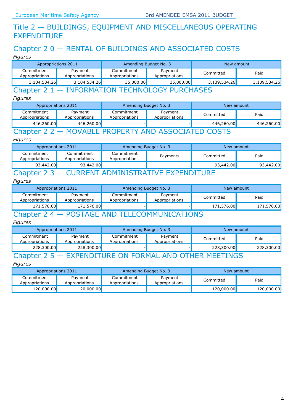## Title 2 — BUILDINGS, EQUIPMENT AND MISCELLANEOUS OPERATING EXPENDITURE

# Chapter 2 0 — RENTAL OF BUILDINGS AND ASSOCIATED COSTS

*Figures*

| Appropriations 2011          |                           | Amending Budget No. 3        |                           | New amount   |              |
|------------------------------|---------------------------|------------------------------|---------------------------|--------------|--------------|
| Commitment<br>Appropriations | Payment<br>Appropriations | Commitment<br>Appropriations | Payment<br>Appropriations | Committed    | Paid         |
| 3,104,534.26                 | 3,104,534.26              | 35,000.00                    | 35,000.00                 | 3,139,534.26 | 3,139,534.26 |
|                              |                           |                              |                           |              |              |

#### Chapter 2 1 — INFORMATION TECHNOLOGY PURCHASES

*Figures*

| Appropriations 2011          |                           | Amending Budget No. 3        |                           | New amount |            |  |
|------------------------------|---------------------------|------------------------------|---------------------------|------------|------------|--|
| Commitment<br>Appropriations | Payment<br>Appropriations | Commitment<br>Appropriations | Payment<br>Appropriations | Committed  | Paid       |  |
| 446,260.00                   | 446,260.00                |                              |                           | 446,260.00 | 446,260.00 |  |
|                              |                           |                              |                           |            |            |  |

## Chapter 2 2 — MOVABLE PROPERTY AND ASSOCIATED COSTS

#### *Figures*

| Appropriations 2011          |                              | Amending Budget No. 3        |          | New amount |           |  |  |
|------------------------------|------------------------------|------------------------------|----------|------------|-----------|--|--|
| Commitment<br>Appropriations | Commitment<br>Appropriations | Commitment<br>Appropriations | Payments | Committed  | Paid      |  |  |
| 93,442.00                    | 93,442.00                    |                              |          | 93,442.00  | 93,442.00 |  |  |
| $\sim$                       |                              |                              |          |            |           |  |  |

### Chapter 2 3 — CURRENT ADMINISTRATIVE EXPENDITURE

#### *Figures*

| Appropriations 2011          |                           | Amending Budget No. 3        |                           | New amount |            |
|------------------------------|---------------------------|------------------------------|---------------------------|------------|------------|
| Commitment<br>Appropriations | Payment<br>Appropriations | Commitment<br>Appropriations | Payment<br>Appropriations | Committed  | Paid       |
| 171,576.00                   | 171,576.00                |                              |                           | 171,576.00 | 171,576.00 |
| $\mathbf{a}$                 | DOOT LOF                  |                              |                           |            |            |

### Chapter 2 4 — POSTAGE AND TELECOMMUNICATIONS

#### *Figures*

| Appropriations 2011          |                                | Amending Budget No. 3        |                           | New amount |            |  |  |  |
|------------------------------|--------------------------------|------------------------------|---------------------------|------------|------------|--|--|--|
| Commitment<br>Appropriations | Payment<br>Appropriations      | Commitment<br>Appropriations | Payment<br>Appropriations | Committed  | Paid       |  |  |  |
| 228,300.00                   | 228,300.00                     |                              |                           | 228,300.00 | 228,300.00 |  |  |  |
|                              | <b>THER MEFTINGS</b><br>EODMAI |                              |                           |            |            |  |  |  |

| Appropriations 2011          |                           | Amending Budget No. 3        |                           | New amount |            |
|------------------------------|---------------------------|------------------------------|---------------------------|------------|------------|
| Commitment<br>Appropriations | Payment<br>Appropriations | Commitment<br>Appropriations | Payment<br>Appropriations | Committed  | Paid       |
| 120,000.00                   | 120,000.00 <mark>1</mark> |                              |                           | 120,000.00 | 120,000.00 |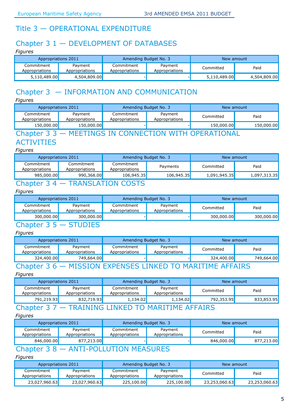## Title 3 — OPERATIONAL EXPENDITURE

# Chapter 3 1 — DEVELOPMENT OF DATABASES

*Figures*

| Appropriations 2011          |                           | Amending Budget No. 3        |                           | New amount   |              |
|------------------------------|---------------------------|------------------------------|---------------------------|--------------|--------------|
| Commitment<br>Appropriations | Payment<br>Appropriations | Commitment<br>Appropriations | Payment<br>Appropriations | Committed    | Paid         |
| 5,110,489.00                 | 4,504,809.00              |                              |                           | 5,110,489.00 | 4,504,809.00 |

# Chapter 3 — INFORMATION AND COMMUNICATION

*Figures*

| Appropriations 2011          |                           | Amending Budget No. 3        |                           | New amount |            |
|------------------------------|---------------------------|------------------------------|---------------------------|------------|------------|
| Commitment<br>Appropriations | Payment<br>Appropriations | Commitment<br>Appropriations | Payment<br>Appropriations | Committed  | Paid       |
| 150,000.00                   | 150,000.00                |                              |                           | 150,000.00 | 150,000.00 |
| $\Gamma$ bonton              |                           |                              |                           |            |            |

## Chapter 3 3 — MEETINGS IN CONNECTION WITH OPERATIONAL

### **ACTIVITIES**

#### *Figures*

| Appropriations 2011                         |                              | Amending Budget No. 3        |            | New amount   |              |  |
|---------------------------------------------|------------------------------|------------------------------|------------|--------------|--------------|--|
| Commitment<br>Appropriations                | Commitment<br>Appropriations | Commitment<br>Appropriations | Payments   | Committed    | Paid         |  |
| 985,000.00                                  | 990,368.00                   | 106,945.35                   | 106,945.35 | 1,091,945.35 | 1,097,313.35 |  |
| <b>TRANSI ATION COSTS</b><br><b>Chapter</b> |                              |                              |            |              |              |  |

#### *Figures*

| Appropriations 2011          |                           | Amending Budget No. 3        |                           | New amount |            |
|------------------------------|---------------------------|------------------------------|---------------------------|------------|------------|
| Commitment<br>Appropriations | Payment<br>Appropriations | Commitment<br>Appropriations | Payment<br>Appropriations | Committed  | Paid       |
| 300,000.00                   | 300,000.00                |                              |                           | 300,000.00 | 300,000.00 |
| $\sim$                       | <b>ATIINTEA</b>           |                              |                           |            |            |

#### Chapter 3 5 — STUDIES

#### *Figures*

| Appropriations 2011          |                           | Amending Budget No. 3        |                           | New amount |            |
|------------------------------|---------------------------|------------------------------|---------------------------|------------|------------|
| Commitment<br>Appropriations | Payment<br>Appropriations | Commitment<br>Appropriations | Payment<br>Appropriations | Committed  | Paid       |
| 324,400.00                   | 749,664.00                |                              |                           | 324,400.00 | 749,664.00 |
|                              |                           |                              |                           |            |            |

### Chapter 3 6 — MISSION EXPENSES LINKED TO MARITIME AFFAIRS

*Figures*

| Appropriations 2011          |                           | Amending Budget No. 3        |                           | New amount |            |
|------------------------------|---------------------------|------------------------------|---------------------------|------------|------------|
| Commitment<br>Appropriations | Payment<br>Appropriations | Commitment<br>Appropriations | Payment<br>Appropriations | Committed  | Paid       |
| 791,219.93                   | 832,719.93                | 1,134.02                     | 1,134.02                  | 792,353.95 | 833,853.95 |
| $\bigcap_{n\in\mathbb{N}}$   |                           |                              |                           |            |            |

### Chapter 3 7 — TRAINING LINKED TO MARITIME AFFAIRS

#### *Figures*

| Appropriations 2011          |                           | Amending Budget No. 3        |                           | New amount |            |
|------------------------------|---------------------------|------------------------------|---------------------------|------------|------------|
| Commitment<br>Appropriations | Payment<br>Appropriations | Commitment<br>Appropriations | Payment<br>Appropriations | Committed  | Paid       |
| 846,000.00                   | 877,213.00                |                              |                           | 846,000,00 | 877,213.00 |

# Chapter 3 8 — ANTI-POLLUTION MEASURES

| Appropriations 2011          |                           | Amending Budget No. 3        |                           | New amount    |               |
|------------------------------|---------------------------|------------------------------|---------------------------|---------------|---------------|
| Commitment<br>Appropriations | Payment<br>Appropriations | Commitment<br>Appropriations | Payment<br>Appropriations | Committed     | Paid          |
| 23,027,960.63                | 23,027,960.63             | 225,100.00                   | 225,100.00                | 23,253,060.63 | 23,253,060.63 |